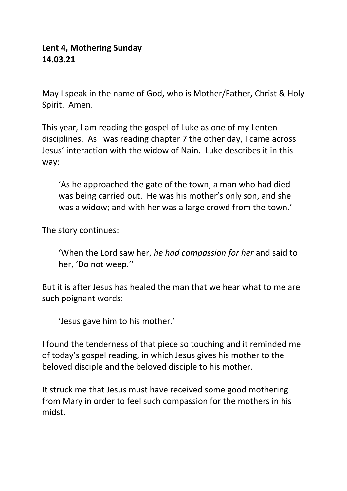## **Lent 4, Mothering Sunday 14.03.21**

May I speak in the name of God, who is Mother/Father, Christ & Holy Spirit. Amen.

This year, I am reading the gospel of Luke as one of my Lenten disciplines. As I was reading chapter 7 the other day, I came across Jesus' interaction with the widow of Nain. Luke describes it in this way:

'As he approached the gate of the town, a man who had died was being carried out. He was his mother's only son, and she was a widow; and with her was a large crowd from the town.'

The story continues:

'When the Lord saw her, *he had compassion for her* and said to her, 'Do not weep.''

But it is after Jesus has healed the man that we hear what to me are such poignant words:

'Jesus gave him to his mother.'

I found the tenderness of that piece so touching and it reminded me of today's gospel reading, in which Jesus gives his mother to the beloved disciple and the beloved disciple to his mother.

It struck me that Jesus must have received some good mothering from Mary in order to feel such compassion for the mothers in his midst.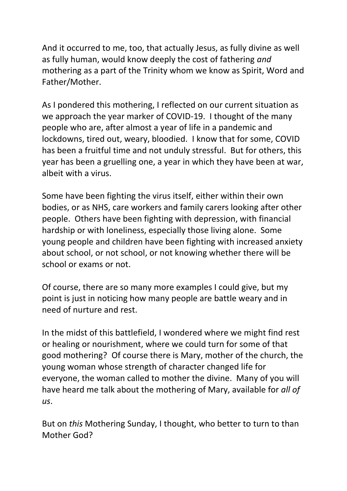And it occurred to me, too, that actually Jesus, as fully divine as well as fully human, would know deeply the cost of fathering *and*  mothering as a part of the Trinity whom we know as Spirit, Word and Father/Mother.

As I pondered this mothering, I reflected on our current situation as we approach the year marker of COVID-19. I thought of the many people who are, after almost a year of life in a pandemic and lockdowns, tired out, weary, bloodied. I know that for some, COVID has been a fruitful time and not unduly stressful. But for others, this year has been a gruelling one, a year in which they have been at war, albeit with a virus.

Some have been fighting the virus itself, either within their own bodies, or as NHS, care workers and family carers looking after other people. Others have been fighting with depression, with financial hardship or with loneliness, especially those living alone. Some young people and children have been fighting with increased anxiety about school, or not school, or not knowing whether there will be school or exams or not.

Of course, there are so many more examples I could give, but my point is just in noticing how many people are battle weary and in need of nurture and rest.

In the midst of this battlefield, I wondered where we might find rest or healing or nourishment, where we could turn for some of that good mothering? Of course there is Mary, mother of the church, the young woman whose strength of character changed life for everyone, the woman called to mother the divine. Many of you will have heard me talk about the mothering of Mary, available for *all of us*.

But on *this* Mothering Sunday, I thought, who better to turn to than Mother God?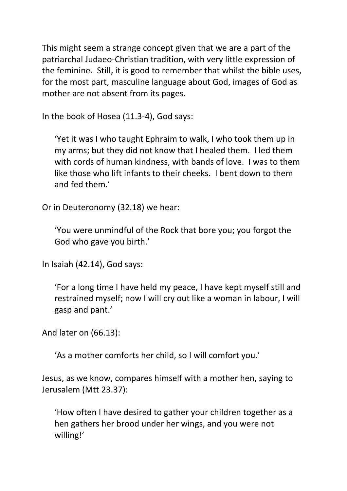This might seem a strange concept given that we are a part of the patriarchal Judaeo-Christian tradition, with very little expression of the feminine. Still, it is good to remember that whilst the bible uses, for the most part, masculine language about God, images of God as mother are not absent from its pages.

In the book of Hosea (11.3-4), God says:

'Yet it was I who taught Ephraim to walk, I who took them up in my arms; but they did not know that I healed them. I led them with cords of human kindness, with bands of love. I was to them like those who lift infants to their cheeks. I bent down to them and fed them.'

Or in Deuteronomy (32.18) we hear:

'You were unmindful of the Rock that bore you; you forgot the God who gave you birth.'

In Isaiah (42.14), God says:

'For a long time I have held my peace, I have kept myself still and restrained myself; now I will cry out like a woman in labour, I will gasp and pant.'

And later on (66.13):

'As a mother comforts her child, so I will comfort you.'

Jesus, as we know, compares himself with a mother hen, saying to Jerusalem (Mtt 23.37):

'How often I have desired to gather your children together as a hen gathers her brood under her wings, and you were not willing!'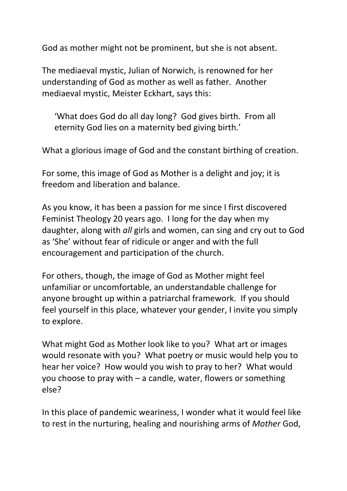God as mother might not be prominent, but she is not absent.

The mediaeval mystic, Julian of Norwich, is renowned for her understanding of God as mother as well as father. Another mediaeval mystic, Meister Eckhart, says this:

'What does God do all day long? God gives birth. From all eternity God lies on a maternity bed giving birth.'

What a glorious image of God and the constant birthing of creation.

For some, this image of God as Mother is a delight and joy; it is freedom and liberation and balance.

As you know, it has been a passion for me since I first discovered Feminist Theology 20 years ago. I long for the day when my daughter, along with *all* girls and women, can sing and cry out to God as 'She' without fear of ridicule or anger and with the full encouragement and participation of the church.

For others, though, the image of God as Mother might feel unfamiliar or uncomfortable, an understandable challenge for anyone brought up within a patriarchal framework. If you should feel yourself in this place, whatever your gender, I invite you simply to explore.

What might God as Mother look like to you? What art or images would resonate with you? What poetry or music would help you to hear her voice? How would you wish to pray to her? What would you choose to pray with – a candle, water, flowers or something else?

In this place of pandemic weariness, I wonder what it would feel like to rest in the nurturing, healing and nourishing arms of *Mother* God,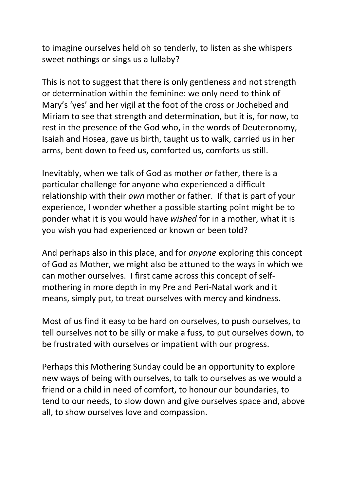to imagine ourselves held oh so tenderly, to listen as she whispers sweet nothings or sings us a lullaby?

This is not to suggest that there is only gentleness and not strength or determination within the feminine: we only need to think of Mary's 'yes' and her vigil at the foot of the cross or Jochebed and Miriam to see that strength and determination, but it is, for now, to rest in the presence of the God who, in the words of Deuteronomy, Isaiah and Hosea, gave us birth, taught us to walk, carried us in her arms, bent down to feed us, comforted us, comforts us still.

Inevitably, when we talk of God as mother *or* father, there is a particular challenge for anyone who experienced a difficult relationship with their *own* mother or father. If that is part of your experience, I wonder whether a possible starting point might be to ponder what it is you would have *wished* for in a mother, what it is you wish you had experienced or known or been told?

And perhaps also in this place, and for *anyone* exploring this concept of God as Mother, we might also be attuned to the ways in which we can mother ourselves. I first came across this concept of selfmothering in more depth in my Pre and Peri-Natal work and it means, simply put, to treat ourselves with mercy and kindness.

Most of us find it easy to be hard on ourselves, to push ourselves, to tell ourselves not to be silly or make a fuss, to put ourselves down, to be frustrated with ourselves or impatient with our progress.

Perhaps this Mothering Sunday could be an opportunity to explore new ways of being with ourselves, to talk to ourselves as we would a friend or a child in need of comfort, to honour our boundaries, to tend to our needs, to slow down and give ourselves space and, above all, to show ourselves love and compassion.